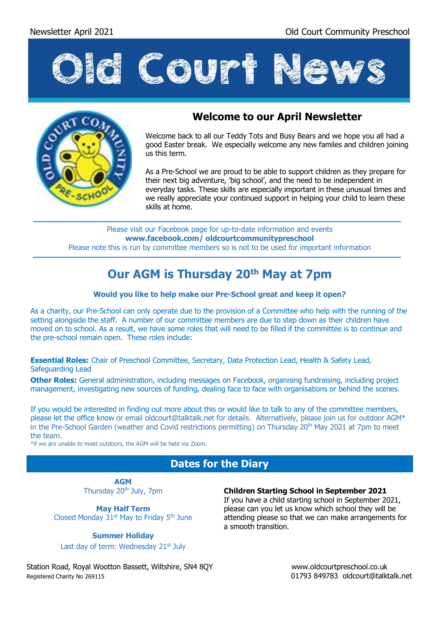



#### **Welcome to our April Newsletter**

Welcome back to all our Teddy Tots and Busy Bears and we hope you all had a good Easter break. We especially welcome any new familes and children joining us this term.

As a Pre-School we are proud to be able to support children as they prepare for their next big adventure, 'big school', and the need to be independent in everyday tasks. These skills are especially important in these unusual times and we really appreciate your continued support in helping your child to learn these skills at home.

Please visit our Facebook page for up-to-date information and events **www.facebook.com/ oldcourtcommunitypreschool** Please note this is run by committee members so is not to be used for important information

# **Our AGM is Thursday 20th May at 7pm**

#### **Would you like to help make our Pre-School great and keep it open?**

As a charity, our Pre-School can only operate due to the provision of a Committee who help with the running of the setting alongside the staff. A number of our committee members are due to step down as their children have moved on to school. As a result, we have some roles that will need to be filled if the committee is to continue and the pre-school remain open. These roles include:

**Essential Roles:** Chair of Preschool Committee, Secretary, Data Protection Lead, Health & Safety Lead, Safeguarding Lead

**Other Roles:** General administration, including messages on Facebook, organising fundraising, including project management, investigating new sources of funding, dealing face to face with organisations or behind the scenes.

If you would be interested in finding out more about this or would like to talk to any of the committee members, please let the office know or email oldcourt@talktalk.net for details. Alternatively, please join us for outdoor AGM\* in the Pre-School Garden (weather and Covid restrictions permitting) on Thursday 20<sup>th</sup> May 2021 at 7pm to meet the team.

\*if we are unable to meet outdoors, the AGM will be held via Zoom.

### **Dates for the Diary**

**AGM** Thursday 20<sup>th</sup> July, 7pm

**May Half Term** Closed Monday  $31<sup>st</sup>$  May to Friday  $5<sup>th</sup>$  June

**Summer Holiday** 

Last day of term: Wednesday 21<sup>st</sup> July

**Children Starting School in September 2021**

If you have a child starting school in September 2021, please can you let us know which school they will be attending please so that we can make arrangements for a smooth transition.

Station Road, Royal Wootton Bassett, Wiltshire, SN4 8QY [www.oldcourtpreschool.co.uk](http://www.oldcourtpreschool.co.uk/) Registered Charity No 269115 01793 849783 oldcourt@talktalk.net